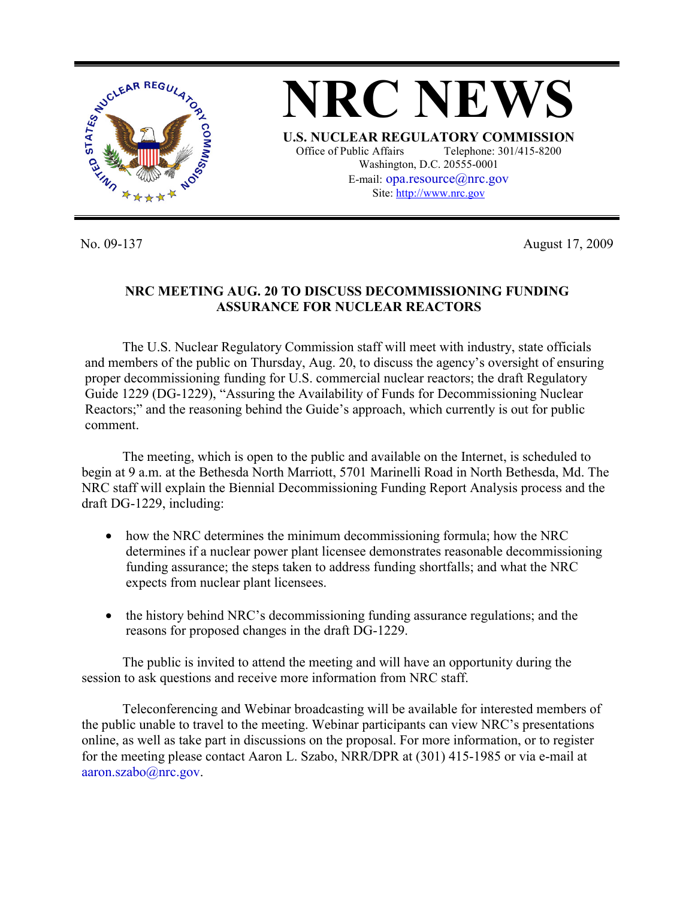

No. 09-137 August 17, 2009

## **NRC MEETING AUG. 20 TO DISCUSS DECOMMISSIONING FUNDING ASSURANCE FOR NUCLEAR REACTORS**

The U.S. Nuclear Regulatory Commission staff will meet with industry, state officials and members of the public on Thursday, Aug. 20, to discuss the agency's oversight of ensuring proper decommissioning funding for U.S. commercial nuclear reactors; the draft Regulatory Guide 1229 (DG-1229), "Assuring the Availability of Funds for Decommissioning Nuclear Reactors;" and the reasoning behind the Guide's approach, which currently is out for public comment.

 The meeting, which is open to the public and available on the Internet, is scheduled to begin at 9 a.m. at the Bethesda North Marriott, 5701 Marinelli Road in North Bethesda, Md. The NRC staff will explain the Biennial Decommissioning Funding Report Analysis process and the draft DG-1229, including:

- how the NRC determines the minimum decommissioning formula; how the NRC determines if a nuclear power plant licensee demonstrates reasonable decommissioning funding assurance; the steps taken to address funding shortfalls; and what the NRC expects from nuclear plant licensees.
- the history behind NRC's decommissioning funding assurance regulations; and the reasons for proposed changes in the draft DG-1229.

 The public is invited to attend the meeting and will have an opportunity during the session to ask questions and receive more information from NRC staff.

 Teleconferencing and Webinar broadcasting will be available for interested members of the public unable to travel to the meeting. Webinar participants can view NRC's presentations online, as well as take part in discussions on the proposal. For more information, or to register for the meeting please contact Aaron L. Szabo, NRR/DPR at (301) 415-1985 or via e-mail at aaron.szabo@nrc.gov.